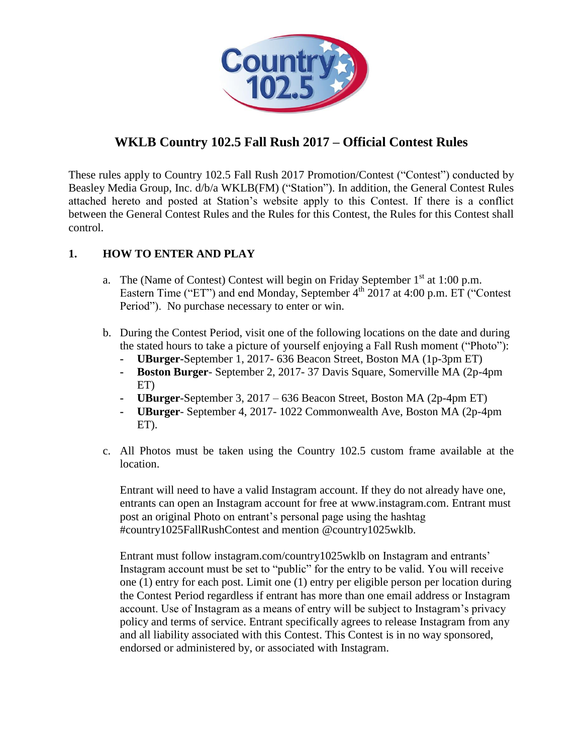

# **WKLB Country 102.5 Fall Rush 2017 – Official Contest Rules**

These rules apply to Country 102.5 Fall Rush 2017 Promotion/Contest ("Contest") conducted by Beasley Media Group, Inc. d/b/a WKLB(FM) ("Station"). In addition, the General Contest Rules attached hereto and posted at Station's website apply to this Contest. If there is a conflict between the General Contest Rules and the Rules for this Contest, the Rules for this Contest shall control.

### **1. HOW TO ENTER AND PLAY**

- a. The (Name of Contest) Contest will begin on Friday September  $1<sup>st</sup>$  at 1:00 p.m. Eastern Time ("ET") and end Monday, September  $4<sup>th</sup>$  2017 at 4:00 p.m. ET ("Contest") Period"). No purchase necessary to enter or win.
- b. During the Contest Period, visit one of the following locations on the date and during the stated hours to take a picture of yourself enjoying a Fall Rush moment ("Photo"):
	- **- UBurger-**September 1, 2017- 636 Beacon Street, Boston MA (1p-3pm ET)
	- **- Boston Burger** September 2, 2017- 37 Davis Square, Somerville MA (2p-4pm ET)
	- **- UBurger**-September 3, 2017 636 Beacon Street, Boston MA (2p-4pm ET)
	- **- UBurger** September 4, 2017- 1022 Commonwealth Ave, Boston MA (2p-4pm ET).
- c. All Photos must be taken using the Country 102.5 custom frame available at the location.

Entrant will need to have a valid Instagram account. If they do not already have one, entrants can open an Instagram account for free at www.instagram.com. Entrant must post an original Photo on entrant's personal page using the hashtag #country1025FallRushContest and mention @country1025wklb.

Entrant must follow instagram.com/country1025wklb on Instagram and entrants' Instagram account must be set to "public" for the entry to be valid. You will receive one (1) entry for each post. Limit one (1) entry per eligible person per location during the Contest Period regardless if entrant has more than one email address or Instagram account. Use of Instagram as a means of entry will be subject to Instagram's privacy policy and terms of service. Entrant specifically agrees to release Instagram from any and all liability associated with this Contest. This Contest is in no way sponsored, endorsed or administered by, or associated with Instagram.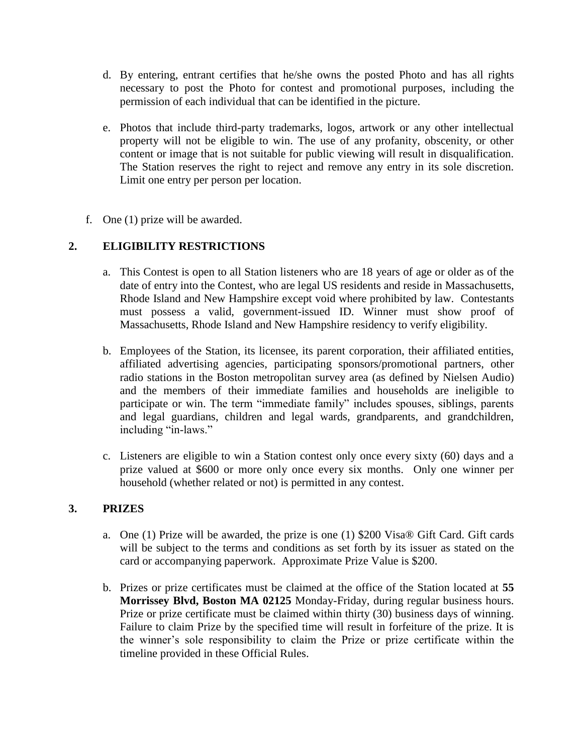- d. By entering, entrant certifies that he/she owns the posted Photo and has all rights necessary to post the Photo for contest and promotional purposes, including the permission of each individual that can be identified in the picture.
- e. Photos that include third-party trademarks, logos, artwork or any other intellectual property will not be eligible to win. The use of any profanity, obscenity, or other content or image that is not suitable for public viewing will result in disqualification. The Station reserves the right to reject and remove any entry in its sole discretion. Limit one entry per person per location.
- f. One (1) prize will be awarded.

# **2. ELIGIBILITY RESTRICTIONS**

- a. This Contest is open to all Station listeners who are 18 years of age or older as of the date of entry into the Contest, who are legal US residents and reside in Massachusetts, Rhode Island and New Hampshire except void where prohibited by law. Contestants must possess a valid, government-issued ID. Winner must show proof of Massachusetts, Rhode Island and New Hampshire residency to verify eligibility.
- b. Employees of the Station, its licensee, its parent corporation, their affiliated entities, affiliated advertising agencies, participating sponsors/promotional partners, other radio stations in the Boston metropolitan survey area (as defined by Nielsen Audio) and the members of their immediate families and households are ineligible to participate or win. The term "immediate family" includes spouses, siblings, parents and legal guardians, children and legal wards, grandparents, and grandchildren, including "in-laws."
- c. Listeners are eligible to win a Station contest only once every sixty (60) days and a prize valued at \$600 or more only once every six months. Only one winner per household (whether related or not) is permitted in any contest.

#### **3. PRIZES**

- a. One (1) Prize will be awarded, the prize is one (1) \$200 Visa® Gift Card. Gift cards will be subject to the terms and conditions as set forth by its issuer as stated on the card or accompanying paperwork. Approximate Prize Value is \$200.
- b. Prizes or prize certificates must be claimed at the office of the Station located at **55 Morrissey Blvd, Boston MA 02125** Monday-Friday, during regular business hours. Prize or prize certificate must be claimed within thirty (30) business days of winning. Failure to claim Prize by the specified time will result in forfeiture of the prize. It is the winner's sole responsibility to claim the Prize or prize certificate within the timeline provided in these Official Rules.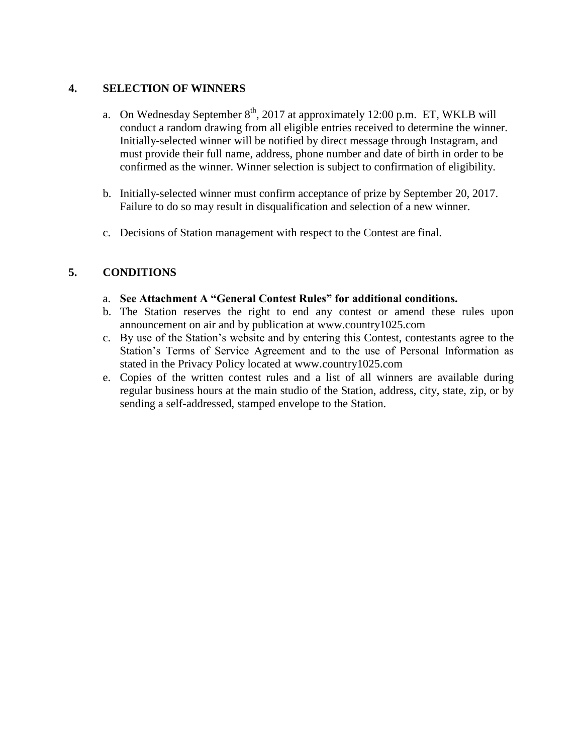#### **4. SELECTION OF WINNERS**

- a. On Wednesday September  $8<sup>th</sup>$ , 2017 at approximately 12:00 p.m. ET, WKLB will conduct a random drawing from all eligible entries received to determine the winner. Initially-selected winner will be notified by direct message through Instagram, and must provide their full name, address, phone number and date of birth in order to be confirmed as the winner. Winner selection is subject to confirmation of eligibility.
- b. Initially-selected winner must confirm acceptance of prize by September 20, 2017. Failure to do so may result in disqualification and selection of a new winner.
- c. Decisions of Station management with respect to the Contest are final.

### **5. CONDITIONS**

- a. **See Attachment A "General Contest Rules" for additional conditions.**
- b. The Station reserves the right to end any contest or amend these rules upon announcement on air and by publication at www.country1025.com
- c. By use of the Station's website and by entering this Contest, contestants agree to the Station's Terms of Service Agreement and to the use of Personal Information as stated in the Privacy Policy located at www.country1025.com
- e. Copies of the written contest rules and a list of all winners are available during regular business hours at the main studio of the Station, address, city, state, zip, or by sending a self-addressed, stamped envelope to the Station.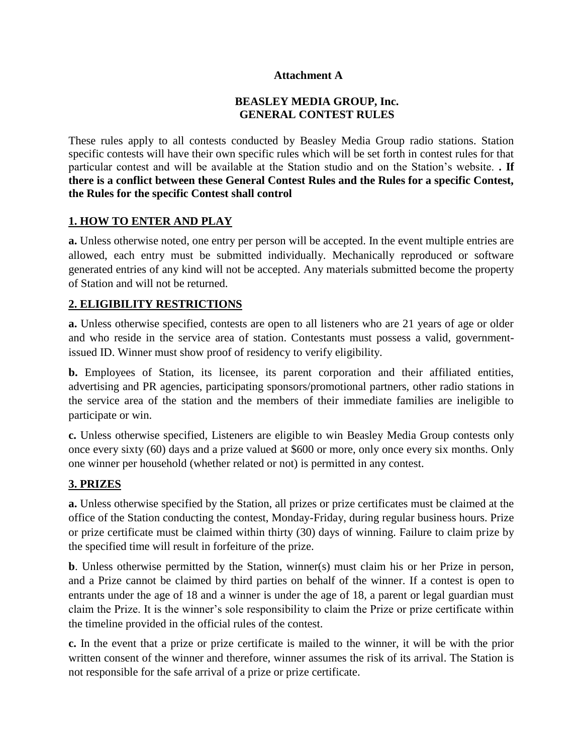#### **Attachment A**

#### **BEASLEY MEDIA GROUP, Inc. GENERAL CONTEST RULES**

These rules apply to all contests conducted by Beasley Media Group radio stations. Station specific contests will have their own specific rules which will be set forth in contest rules for that particular contest and will be available at the Station studio and on the Station's website. **. If there is a conflict between these General Contest Rules and the Rules for a specific Contest, the Rules for the specific Contest shall control**

#### **1. HOW TO ENTER AND PLAY**

**a.** Unless otherwise noted, one entry per person will be accepted. In the event multiple entries are allowed, each entry must be submitted individually. Mechanically reproduced or software generated entries of any kind will not be accepted. Any materials submitted become the property of Station and will not be returned.

#### **2. ELIGIBILITY RESTRICTIONS**

**a.** Unless otherwise specified, contests are open to all listeners who are 21 years of age or older and who reside in the service area of station. Contestants must possess a valid, governmentissued ID. Winner must show proof of residency to verify eligibility.

**b.** Employees of Station, its licensee, its parent corporation and their affiliated entities, advertising and PR agencies, participating sponsors/promotional partners, other radio stations in the service area of the station and the members of their immediate families are ineligible to participate or win.

**c.** Unless otherwise specified, Listeners are eligible to win Beasley Media Group contests only once every sixty (60) days and a prize valued at \$600 or more, only once every six months. Only one winner per household (whether related or not) is permitted in any contest.

#### **3. PRIZES**

**a.** Unless otherwise specified by the Station, all prizes or prize certificates must be claimed at the office of the Station conducting the contest, Monday-Friday, during regular business hours. Prize or prize certificate must be claimed within thirty (30) days of winning. Failure to claim prize by the specified time will result in forfeiture of the prize.

**b**. Unless otherwise permitted by the Station, winner(s) must claim his or her Prize in person, and a Prize cannot be claimed by third parties on behalf of the winner. If a contest is open to entrants under the age of 18 and a winner is under the age of 18, a parent or legal guardian must claim the Prize. It is the winner's sole responsibility to claim the Prize or prize certificate within the timeline provided in the official rules of the contest.

**c.** In the event that a prize or prize certificate is mailed to the winner, it will be with the prior written consent of the winner and therefore, winner assumes the risk of its arrival. The Station is not responsible for the safe arrival of a prize or prize certificate.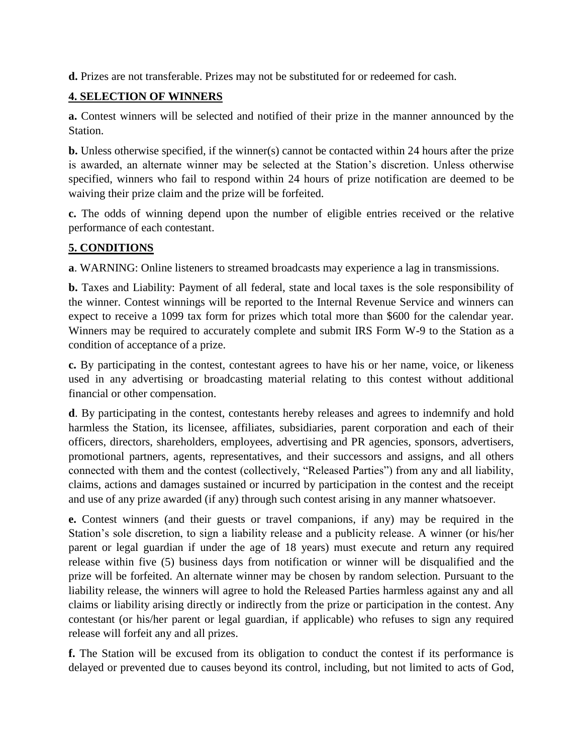**d.** Prizes are not transferable. Prizes may not be substituted for or redeemed for cash.

### **4. SELECTION OF WINNERS**

**a.** Contest winners will be selected and notified of their prize in the manner announced by the Station.

**b.** Unless otherwise specified, if the winner(s) cannot be contacted within 24 hours after the prize is awarded, an alternate winner may be selected at the Station's discretion. Unless otherwise specified, winners who fail to respond within 24 hours of prize notification are deemed to be waiving their prize claim and the prize will be forfeited.

**c.** The odds of winning depend upon the number of eligible entries received or the relative performance of each contestant.

### **5. CONDITIONS**

**a**. WARNING: Online listeners to streamed broadcasts may experience a lag in transmissions.

**b.** Taxes and Liability: Payment of all federal, state and local taxes is the sole responsibility of the winner. Contest winnings will be reported to the Internal Revenue Service and winners can expect to receive a 1099 tax form for prizes which total more than \$600 for the calendar year. Winners may be required to accurately complete and submit IRS Form W-9 to the Station as a condition of acceptance of a prize.

**c.** By participating in the contest, contestant agrees to have his or her name, voice, or likeness used in any advertising or broadcasting material relating to this contest without additional financial or other compensation.

**d**. By participating in the contest, contestants hereby releases and agrees to indemnify and hold harmless the Station, its licensee, affiliates, subsidiaries, parent corporation and each of their officers, directors, shareholders, employees, advertising and PR agencies, sponsors, advertisers, promotional partners, agents, representatives, and their successors and assigns, and all others connected with them and the contest (collectively, "Released Parties") from any and all liability, claims, actions and damages sustained or incurred by participation in the contest and the receipt and use of any prize awarded (if any) through such contest arising in any manner whatsoever.

**e.** Contest winners (and their guests or travel companions, if any) may be required in the Station's sole discretion, to sign a liability release and a publicity release. A winner (or his/her parent or legal guardian if under the age of 18 years) must execute and return any required release within five (5) business days from notification or winner will be disqualified and the prize will be forfeited. An alternate winner may be chosen by random selection. Pursuant to the liability release, the winners will agree to hold the Released Parties harmless against any and all claims or liability arising directly or indirectly from the prize or participation in the contest. Any contestant (or his/her parent or legal guardian, if applicable) who refuses to sign any required release will forfeit any and all prizes.

**f.** The Station will be excused from its obligation to conduct the contest if its performance is delayed or prevented due to causes beyond its control, including, but not limited to acts of God,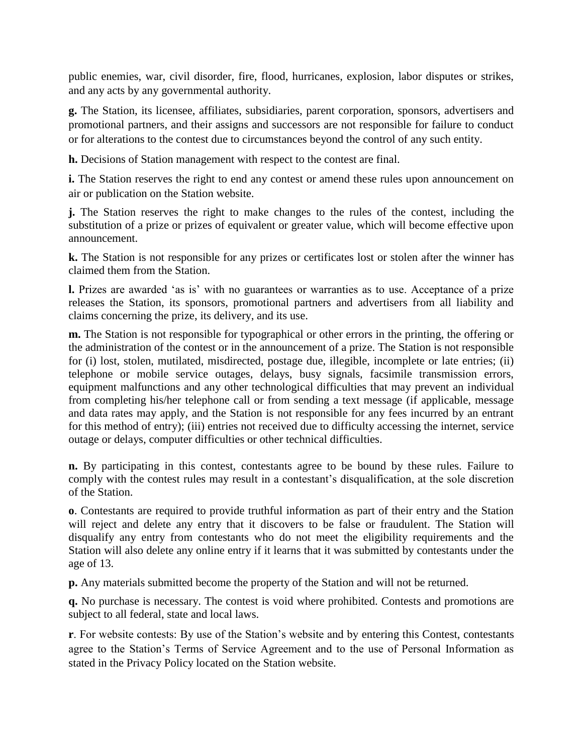public enemies, war, civil disorder, fire, flood, hurricanes, explosion, labor disputes or strikes, and any acts by any governmental authority.

**g.** The Station, its licensee, affiliates, subsidiaries, parent corporation, sponsors, advertisers and promotional partners, and their assigns and successors are not responsible for failure to conduct or for alterations to the contest due to circumstances beyond the control of any such entity.

**h.** Decisions of Station management with respect to the contest are final.

**i.** The Station reserves the right to end any contest or amend these rules upon announcement on air or publication on the Station website.

**j.** The Station reserves the right to make changes to the rules of the contest, including the substitution of a prize or prizes of equivalent or greater value, which will become effective upon announcement.

**k.** The Station is not responsible for any prizes or certificates lost or stolen after the winner has claimed them from the Station.

**l.** Prizes are awarded 'as is' with no guarantees or warranties as to use. Acceptance of a prize releases the Station, its sponsors, promotional partners and advertisers from all liability and claims concerning the prize, its delivery, and its use.

**m.** The Station is not responsible for typographical or other errors in the printing, the offering or the administration of the contest or in the announcement of a prize. The Station is not responsible for (i) lost, stolen, mutilated, misdirected, postage due, illegible, incomplete or late entries; (ii) telephone or mobile service outages, delays, busy signals, facsimile transmission errors, equipment malfunctions and any other technological difficulties that may prevent an individual from completing his/her telephone call or from sending a text message (if applicable, message and data rates may apply, and the Station is not responsible for any fees incurred by an entrant for this method of entry); (iii) entries not received due to difficulty accessing the internet, service outage or delays, computer difficulties or other technical difficulties.

**n.** By participating in this contest, contestants agree to be bound by these rules. Failure to comply with the contest rules may result in a contestant's disqualification, at the sole discretion of the Station.

**o**. Contestants are required to provide truthful information as part of their entry and the Station will reject and delete any entry that it discovers to be false or fraudulent. The Station will disqualify any entry from contestants who do not meet the eligibility requirements and the Station will also delete any online entry if it learns that it was submitted by contestants under the age of 13.

**p.** Any materials submitted become the property of the Station and will not be returned.

**q.** No purchase is necessary. The contest is void where prohibited. Contests and promotions are subject to all federal, state and local laws.

**r**. For website contests: By use of the Station's website and by entering this Contest, contestants agree to the Station's Terms of Service Agreement and to the use of Personal Information as stated in the Privacy Policy located on the Station website.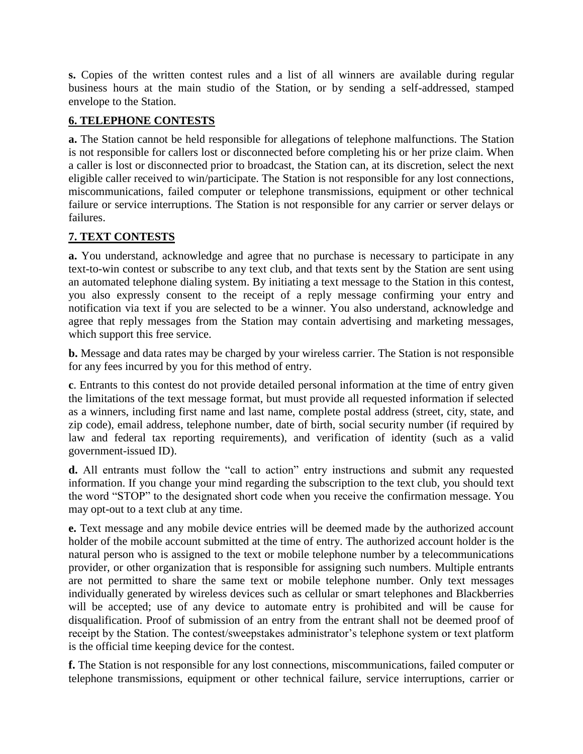**s.** Copies of the written contest rules and a list of all winners are available during regular business hours at the main studio of the Station, or by sending a self-addressed, stamped envelope to the Station.

# **6. TELEPHONE CONTESTS**

**a.** The Station cannot be held responsible for allegations of telephone malfunctions. The Station is not responsible for callers lost or disconnected before completing his or her prize claim. When a caller is lost or disconnected prior to broadcast, the Station can, at its discretion, select the next eligible caller received to win/participate. The Station is not responsible for any lost connections, miscommunications, failed computer or telephone transmissions, equipment or other technical failure or service interruptions. The Station is not responsible for any carrier or server delays or failures.

# **7. TEXT CONTESTS**

**a.** You understand, acknowledge and agree that no purchase is necessary to participate in any text-to-win contest or subscribe to any text club, and that texts sent by the Station are sent using an automated telephone dialing system. By initiating a text message to the Station in this contest, you also expressly consent to the receipt of a reply message confirming your entry and notification via text if you are selected to be a winner. You also understand, acknowledge and agree that reply messages from the Station may contain advertising and marketing messages, which support this free service.

**b.** Message and data rates may be charged by your wireless carrier. The Station is not responsible for any fees incurred by you for this method of entry.

**c**. Entrants to this contest do not provide detailed personal information at the time of entry given the limitations of the text message format, but must provide all requested information if selected as a winners, including first name and last name, complete postal address (street, city, state, and zip code), email address, telephone number, date of birth, social security number (if required by law and federal tax reporting requirements), and verification of identity (such as a valid government-issued ID).

**d.** All entrants must follow the "call to action" entry instructions and submit any requested information. If you change your mind regarding the subscription to the text club, you should text the word "STOP" to the designated short code when you receive the confirmation message. You may opt-out to a text club at any time.

**e.** Text message and any mobile device entries will be deemed made by the authorized account holder of the mobile account submitted at the time of entry. The authorized account holder is the natural person who is assigned to the text or mobile telephone number by a telecommunications provider, or other organization that is responsible for assigning such numbers. Multiple entrants are not permitted to share the same text or mobile telephone number. Only text messages individually generated by wireless devices such as cellular or smart telephones and Blackberries will be accepted; use of any device to automate entry is prohibited and will be cause for disqualification. Proof of submission of an entry from the entrant shall not be deemed proof of receipt by the Station. The contest/sweepstakes administrator's telephone system or text platform is the official time keeping device for the contest.

**f.** The Station is not responsible for any lost connections, miscommunications, failed computer or telephone transmissions, equipment or other technical failure, service interruptions, carrier or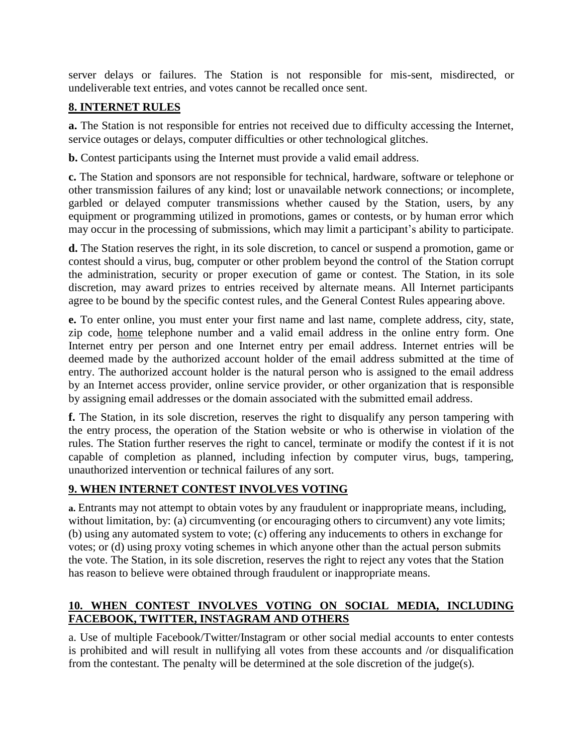server delays or failures. The Station is not responsible for mis-sent, misdirected, or undeliverable text entries, and votes cannot be recalled once sent.

### **8. INTERNET RULES**

**a.** The Station is not responsible for entries not received due to difficulty accessing the Internet, service outages or delays, computer difficulties or other technological glitches.

**b.** Contest participants using the Internet must provide a valid email address.

**c.** The Station and sponsors are not responsible for technical, hardware, software or telephone or other transmission failures of any kind; lost or unavailable network connections; or incomplete, garbled or delayed computer transmissions whether caused by the Station, users, by any equipment or programming utilized in promotions, games or contests, or by human error which may occur in the processing of submissions, which may limit a participant's ability to participate.

**d.** The Station reserves the right, in its sole discretion, to cancel or suspend a promotion, game or contest should a virus, bug, computer or other problem beyond the control of the Station corrupt the administration, security or proper execution of game or contest. The Station, in its sole discretion, may award prizes to entries received by alternate means. All Internet participants agree to be bound by the specific contest rules, and the General Contest Rules appearing above.

**e.** To enter online, you must enter your first name and last name, complete address, city, state, zip code, home telephone number and a valid email address in the online entry form. One Internet entry per person and one Internet entry per email address. Internet entries will be deemed made by the authorized account holder of the email address submitted at the time of entry. The authorized account holder is the natural person who is assigned to the email address by an Internet access provider, online service provider, or other organization that is responsible by assigning email addresses or the domain associated with the submitted email address.

**f.** The Station, in its sole discretion, reserves the right to disqualify any person tampering with the entry process, the operation of the Station website or who is otherwise in violation of the rules. The Station further reserves the right to cancel, terminate or modify the contest if it is not capable of completion as planned, including infection by computer virus, bugs, tampering, unauthorized intervention or technical failures of any sort.

### **9. WHEN INTERNET CONTEST INVOLVES VOTING**

**a.** Entrants may not attempt to obtain votes by any fraudulent or inappropriate means, including, without limitation, by: (a) circumventing (or encouraging others to circumvent) any vote limits; (b) using any automated system to vote; (c) offering any inducements to others in exchange for votes; or (d) using proxy voting schemes in which anyone other than the actual person submits the vote. The Station, in its sole discretion, reserves the right to reject any votes that the Station has reason to believe were obtained through fraudulent or inappropriate means.

# **10. WHEN CONTEST INVOLVES VOTING ON SOCIAL MEDIA, INCLUDING FACEBOOK, TWITTER, INSTAGRAM AND OTHERS**

a. Use of multiple Facebook/Twitter/Instagram or other social medial accounts to enter contests is prohibited and will result in nullifying all votes from these accounts and /or disqualification from the contestant. The penalty will be determined at the sole discretion of the judge(s).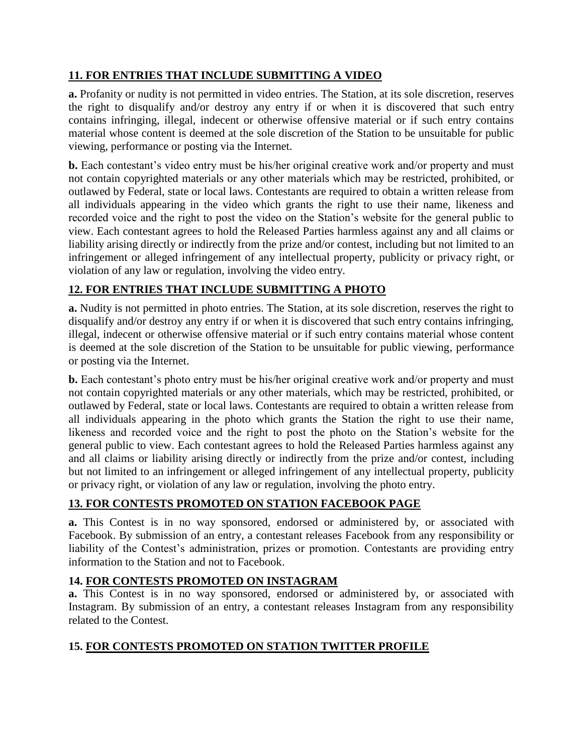# **11. FOR ENTRIES THAT INCLUDE SUBMITTING A VIDEO**

**a.** Profanity or nudity is not permitted in video entries. The Station, at its sole discretion, reserves the right to disqualify and/or destroy any entry if or when it is discovered that such entry contains infringing, illegal, indecent or otherwise offensive material or if such entry contains material whose content is deemed at the sole discretion of the Station to be unsuitable for public viewing, performance or posting via the Internet.

**b.** Each contestant's video entry must be his/her original creative work and/or property and must not contain copyrighted materials or any other materials which may be restricted, prohibited, or outlawed by Federal, state or local laws. Contestants are required to obtain a written release from all individuals appearing in the video which grants the right to use their name, likeness and recorded voice and the right to post the video on the Station's website for the general public to view. Each contestant agrees to hold the Released Parties harmless against any and all claims or liability arising directly or indirectly from the prize and/or contest, including but not limited to an infringement or alleged infringement of any intellectual property, publicity or privacy right, or violation of any law or regulation, involving the video entry.

### **12. FOR ENTRIES THAT INCLUDE SUBMITTING A PHOTO**

**a.** Nudity is not permitted in photo entries. The Station, at its sole discretion, reserves the right to disqualify and/or destroy any entry if or when it is discovered that such entry contains infringing, illegal, indecent or otherwise offensive material or if such entry contains material whose content is deemed at the sole discretion of the Station to be unsuitable for public viewing, performance or posting via the Internet.

**b.** Each contestant's photo entry must be his/her original creative work and/or property and must not contain copyrighted materials or any other materials, which may be restricted, prohibited, or outlawed by Federal, state or local laws. Contestants are required to obtain a written release from all individuals appearing in the photo which grants the Station the right to use their name, likeness and recorded voice and the right to post the photo on the Station's website for the general public to view. Each contestant agrees to hold the Released Parties harmless against any and all claims or liability arising directly or indirectly from the prize and/or contest, including but not limited to an infringement or alleged infringement of any intellectual property, publicity or privacy right, or violation of any law or regulation, involving the photo entry.

### **13. FOR CONTESTS PROMOTED ON STATION FACEBOOK PAGE**

**a.** This Contest is in no way sponsored, endorsed or administered by, or associated with Facebook. By submission of an entry, a contestant releases Facebook from any responsibility or liability of the Contest's administration, prizes or promotion. Contestants are providing entry information to the Station and not to Facebook.

#### **14. FOR CONTESTS PROMOTED ON INSTAGRAM**

**a.** This Contest is in no way sponsored, endorsed or administered by, or associated with Instagram. By submission of an entry, a contestant releases Instagram from any responsibility related to the Contest.

### **15. FOR CONTESTS PROMOTED ON STATION TWITTER PROFILE**